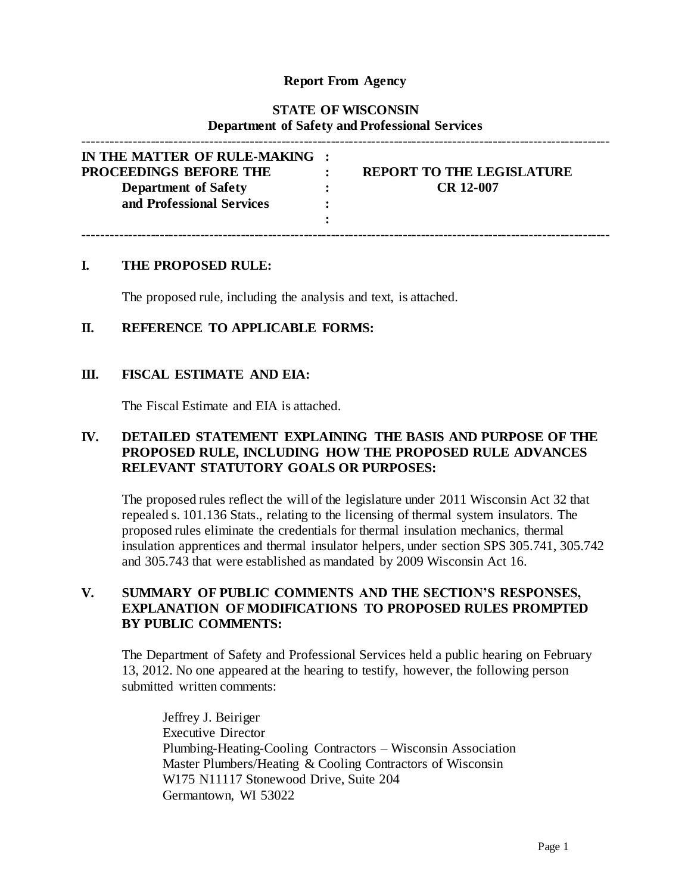## **Report From Agency**

# **STATE OF WISCONSIN Department of Safety and Professional Services**

| IN THE MATTER OF RULE-MAKING :<br><b>PROCEEDINGS BEFORE THE</b><br><b>Department of Safety</b><br>and Professional Services | <b>REPORT TO THE LEGISLATURE</b><br><b>CR 12-007</b> |  |
|-----------------------------------------------------------------------------------------------------------------------------|------------------------------------------------------|--|
|                                                                                                                             |                                                      |  |

#### **I. THE PROPOSED RULE:**

The proposed rule, including the analysis and text, is attached.

#### **II. REFERENCE TO APPLICABLE FORMS:**

#### **III. FISCAL ESTIMATE AND EIA:**

The Fiscal Estimate and EIA is attached.

## **IV. DETAILED STATEMENT EXPLAINING THE BASIS AND PURPOSE OF THE PROPOSED RULE, INCLUDING HOW THE PROPOSED RULE ADVANCES RELEVANT STATUTORY GOALS OR PURPOSES:**

The proposed rules reflect the will of the legislature under 2011 Wisconsin Act 32 that repealed s. 101.136 Stats., relating to the licensing of thermal system insulators. The proposed rules eliminate the credentials for thermal insulation mechanics, thermal insulation apprentices and thermal insulator helpers, under section SPS 305.741, 305.742 and 305.743 that were established as mandated by 2009 Wisconsin Act 16.

## **V. SUMMARY OF PUBLIC COMMENTS AND THE SECTION'S RESPONSES, EXPLANATION OF MODIFICATIONS TO PROPOSED RULES PROMPTED BY PUBLIC COMMENTS:**

The Department of Safety and Professional Services held a public hearing on February 13, 2012. No one appeared at the hearing to testify, however, the following person submitted written comments:

Jeffrey J. Beiriger Executive Director Plumbing-Heating-Cooling Contractors – Wisconsin Association Master Plumbers/Heating & Cooling Contractors of Wisconsin W175 N11117 Stonewood Drive, Suite 204 Germantown, WI 53022